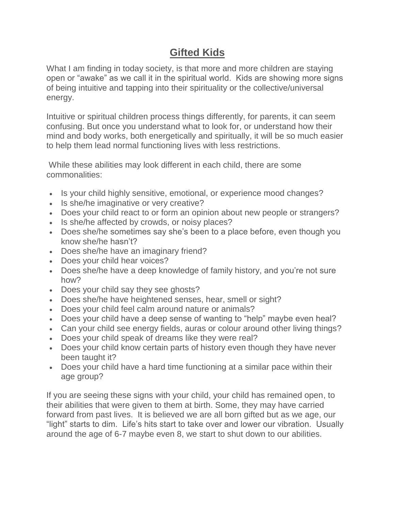# **Gifted Kids**

What I am finding in today society, is that more and more children are staying open or "awake" as we call it in the spiritual world. Kids are showing more signs of being intuitive and tapping into their spirituality or the collective/universal energy.

Intuitive or spiritual children process things differently, for parents, it can seem confusing. But once you understand what to look for, or understand how their mind and body works, both energetically and spiritually, it will be so much easier to help them lead normal functioning lives with less restrictions.

While these abilities may look different in each child, there are some commonalities:

- Is your child highly sensitive, emotional, or experience mood changes?
- Is she/he imaginative or very creative?
- Does your child react to or form an opinion about new people or strangers?
- Is she/he affected by crowds, or noisy places?
- Does she/he sometimes say she's been to a place before, even though you know she/he hasn't?
- Does she/he have an imaginary friend?
- Does your child hear voices?
- Does she/he have a deep knowledge of family history, and you're not sure how?
- Does your child say they see ghosts?
- Does she/he have heightened senses, hear, smell or sight?
- Does your child feel calm around nature or animals?
- Does your child have a deep sense of wanting to "help" maybe even heal?
- Can your child see energy fields, auras or colour around other living things?
- Does your child speak of dreams like they were real?
- Does your child know certain parts of history even though they have never been taught it?
- Does your child have a hard time functioning at a similar pace within their age group?

If you are seeing these signs with your child, your child has remained open, to their abilities that were given to them at birth. Some, they may have carried forward from past lives. It is believed we are all born gifted but as we age, our "light" starts to dim. Life's hits start to take over and lower our vibration. Usually around the age of 6-7 maybe even 8, we start to shut down to our abilities.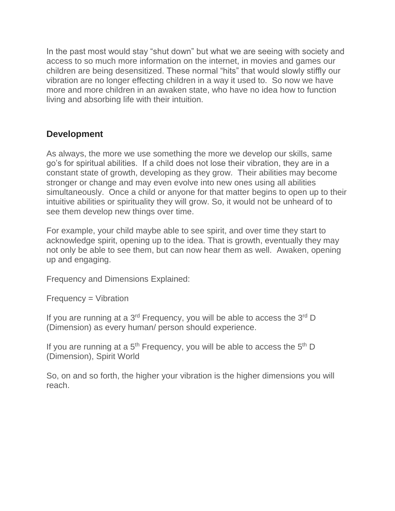In the past most would stay "shut down" but what we are seeing with society and access to so much more information on the internet, in movies and games our children are being desensitized. These normal "hits" that would slowly stiffly our vibration are no longer effecting children in a way it used to. So now we have more and more children in an awaken state, who have no idea how to function living and absorbing life with their intuition.

# **Development**

As always, the more we use something the more we develop our skills, same go's for spiritual abilities. If a child does not lose their vibration, they are in a constant state of growth, developing as they grow. Their abilities may become stronger or change and may even evolve into new ones using all abilities simultaneously. Once a child or anyone for that matter begins to open up to their intuitive abilities or spirituality they will grow. So, it would not be unheard of to see them develop new things over time.

For example, your child maybe able to see spirit, and over time they start to acknowledge spirit, opening up to the idea. That is growth, eventually they may not only be able to see them, but can now hear them as well. Awaken, opening up and engaging.

Frequency and Dimensions Explained:

Frequency = Vibration

If you are running at a  $3^{rd}$  Frequency, you will be able to access the  $3^{rd}$  D (Dimension) as every human/ person should experience.

If you are running at a  $5<sup>th</sup>$  Frequency, you will be able to access the  $5<sup>th</sup>$  D (Dimension), Spirit World

So, on and so forth, the higher your vibration is the higher dimensions you will reach.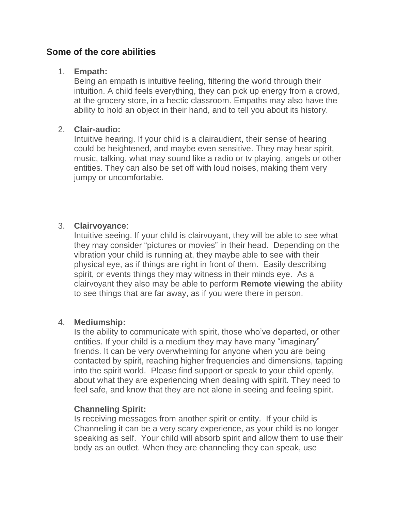## **Some of the core abilities**

#### 1. **Empath:**

Being an empath is intuitive feeling, filtering the world through their intuition. A child feels everything, they can pick up energy from a crowd, at the grocery store, in a hectic classroom. Empaths may also have the ability to hold an object in their hand, and to tell you about its history.

#### 2. **Clair-audio:**

Intuitive hearing. If your child is a clairaudient, their sense of hearing could be heightened, and maybe even sensitive. They may hear spirit, music, talking, what may sound like a radio or tv playing, angels or other entities. They can also be set off with loud noises, making them very jumpy or uncomfortable.

#### 3. **Clairvoyance**:

Intuitive seeing. If your child is clairvoyant, they will be able to see what they may consider "pictures or movies" in their head. Depending on the vibration your child is running at, they maybe able to see with their physical eye, as if things are right in front of them. Easily describing spirit, or events things they may witness in their minds eye. As a clairvoyant they also may be able to perform **Remote viewing** the ability to see things that are far away, as if you were there in person.

#### 4. **Mediumship:**

Is the ability to communicate with spirit, those who've departed, or other entities. If your child is a medium they may have many "imaginary" friends. It can be very overwhelming for anyone when you are being contacted by spirit, reaching higher frequencies and dimensions, tapping into the spirit world. Please find support or speak to your child openly, about what they are experiencing when dealing with spirit. They need to feel safe, and know that they are not alone in seeing and feeling spirit.

#### **Channeling Spirit:**

Is receiving messages from another spirit or entity. If your child is Channeling it can be a very scary experience, as your child is no longer speaking as self. Your child will absorb spirit and allow them to use their body as an outlet. When they are channeling they can speak, use